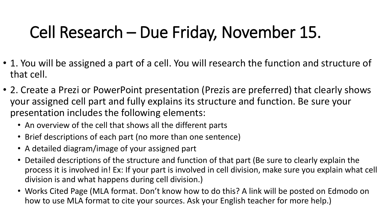# Cell Research – Due Friday, November 15.

- 1. You will be assigned a part of a cell. You will research the function and structure of that cell.
- 2. Create a Prezi or PowerPoint presentation (Prezis are preferred) that clearly shows your assigned cell part and fully explains its structure and function. Be sure your presentation includes the following elements:
	- An overview of the cell that shows all the different parts
	- Brief descriptions of each part (no more than one sentence)
	- A detailed diagram/image of your assigned part
	- Detailed descriptions of the structure and function of that part (Be sure to clearly explain the process it is involved in! Ex: If your part is involved in cell division, make sure you explain what cell division is and what happens during cell division.)
	- Works Cited Page (MLA format. Don't know how to do this? A link will be posted on Edmodo on how to use MLA format to cite your sources. Ask your English teacher for more help.)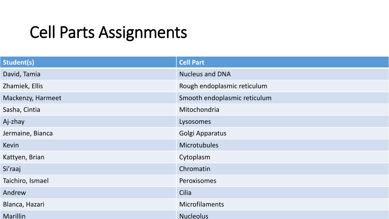### Cell Parts Assignments

| <b>Student(s)</b> | <b>Cell Part</b>             |
|-------------------|------------------------------|
| David, Tamia      | <b>Nucleus and DNA</b>       |
| Zhamiek, Ellis    | Rough endoplasmic reticulum  |
| Mackenzy, Harmeet | Smooth endoplasmic reticulum |
| Sasha, Cintia     | Mitochondria                 |
| Aj-zhay           | Lysosomes                    |
| Jermaine, Bianca  | Golgi Apparatus              |
| Kevin             | <b>Microtubules</b>          |
| Kattyen, Brian    | Cytoplasm                    |
| Si'raaj           | Chromatin                    |
| Taichiro, Ismael  | Peroxisomes                  |
| Andrew            | Cilia                        |
| Blanca, Hazari    | <b>Microfilaments</b>        |
| <b>Marillin</b>   | <b>Nucleolus</b>             |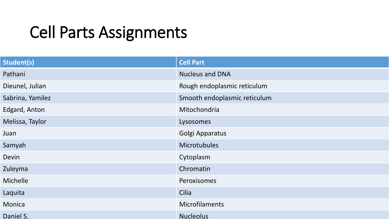## Cell Parts Assignments

| <b>Student(s)</b> | <b>Cell Part</b>             |
|-------------------|------------------------------|
| Pathani           | <b>Nucleus and DNA</b>       |
| Dieunel, Julian   | Rough endoplasmic reticulum  |
| Sabrina, Yamilez  | Smooth endoplasmic reticulum |
| Edgard, Anton     | Mitochondria                 |
| Melissa, Taylor   | Lysosomes                    |
| Juan              | Golgi Apparatus              |
| Samyah            | <b>Microtubules</b>          |
| Devin             | Cytoplasm                    |
| Zuleyma           | Chromatin                    |
| Michelle          | <b>Peroxisomes</b>           |
| Laquita           | Cilia                        |
| Monica            | <b>Microfilaments</b>        |
| Daniel S.         | <b>Nucleolus</b>             |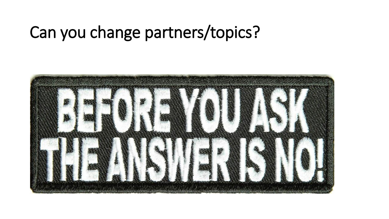#### Can you change partners/topics?